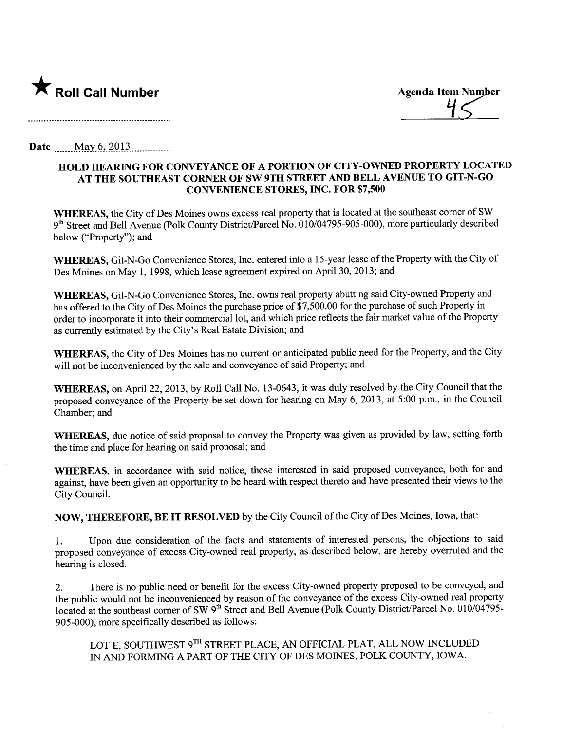

<u>7</u>

Date May  $6, 2013$ 

## HOLD HEARNG FOR CONVEYANCE OF A PORTION OF CITY-OWNED PROPERTY LOCATED AT THE SOUTHEAST CORNER OF SW 9TH STREET AND BELL AVENUE TO GIT-N-GO CONVENIENCE STORES, INC. FOR \$7,500

WHEREAS, the City of Des Moines owns excess real property that is located at the southeast comer of SW 9th Street and Bell Avenue (Polk County District/Parcel No. 010/04795-905-000), more particularly described below ("Property"); and

WHEREAS, Git-N-Go Convenience Stores, Inc. entered into a 15-year lease of the Property with the City of Des Moines on May 1, 1998, which lease agreement expired on April 30, 2013; and

WHEREAS, Git-N-Go Convenience Stores, Inc. owns real property abutting said City-owned Property and has offered to the City of Des Moines the purchase price of \$7,500.00 for the purchase of such Property in order to incorporate it into their commercial lot, and which price reflects the fair market value of the Property as currently estimated by the City's Real Estate Division; and

WHEREAS, the City of Des Moines has no curent or anticipated public need for the Property, and the City will not be inconvenienced by the sale and conveyance of said Property; and

WHEREAS, on April 22, 2013, by Roll Call No. 13-0643, it was duly resolved by the City Council that the proposed conveyance of the Property be set down for hearing on May 6, 2013, at 5:00 p.m., in the Council Chamber; and

WHEREAS, due notice of said proposal to convey the Property was given as provided by law, setting forth the time and place for hearing on said proposal; and

WHEREAS, in accordance with said notice, those interested in said proposed conveyance, both for and against, have been given an opportunty to be heard with respect thereto and have presented their views to the City CounciL.

NOW, THEREFORE, BE IT RESOLVED by the City Council of the City of Des Moines, Iowa, that:

1. Upon due consideration of the facts and statements of interested persons, the objections to said proposed conveyance of excess City-owned real property, as described below, are hereby overruled and the hearing is closed.

2. There is no public need or benefit for the excess City-owned property proposed to be conveyed, and the public would not be inconvenienced by reason of the conveyance of the excess City-owned real property located at the southeast corner of SW 9<sup>th</sup> Street and Bell Avenue (Polk County District/Parcel No. 010/04795-905-000), more specifically described as follows:

LOT E, SOUTHWEST 9TH STREET PLACE, AN OFFICIAL PLAT, ALL NOW INCLUDED IN AND FORMING A PART OF THE CITY OF DES MOINES, POLK COUNTY, IOWA.